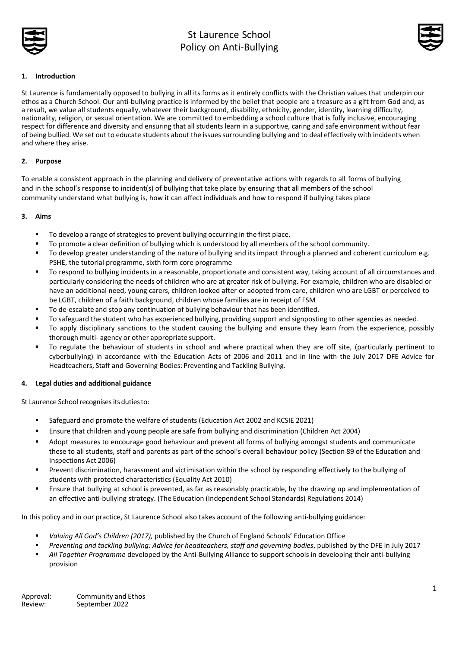



## **1. Introduction**

St Laurence is fundamentally opposed to bullying in all its forms as it entirely conflicts with the Christian values that underpin our ethos as a Church School. Our anti-bullying practice is informed by the belief that people are a treasure as a gift from God and, as a result, we value all students equally, whatever their background, disability, ethnicity, gender, identity, learning difficulty, nationality, religion, or sexual orientation. We are committed to embedding a school culture that is fully inclusive, encouraging respect for difference and diversity and ensuring that all students learn in a supportive, caring and safe environment without fear of being bullied. We set out to educate students about the issuessurrounding bullying and to deal effectively with incidents when and where they arise.

## **2. Purpose**

To enable a consistent approach in the planning and delivery of preventative actions with regards to all forms of bullying and in the school's response to incident(s) of bullying that take place by ensuring that all members of the school community understand what bullying is, how it can affect individuals and how to respond if bullying takes place

### **3. Aims**

- To develop a range of strategies to prevent bullying occurring in the first place.
- To promote a clear definition of bullying which is understood by all members of the school community.
- To develop greater understanding of the nature of bullying and its impact through a planned and coherent curriculum e.g. PSHE, the tutorial programme, sixth form core programme
- To respond to bullying incidents in a reasonable, proportionate and consistent way, taking account of all circumstances and particularly considering the needs of children who are at greater risk of bullying. For example, children who are disabled or have an additional need, young carers, children looked after or adopted from care, children who are LGBT or perceived to be LGBT, children of a faith background, children whose families are in receipt of FSM
- To de-escalate and stop any continuation of bullying behaviour that has been identified.
- To safeguard the student who has experienced bullying, providing support and signposting to other agencies as needed.
- To apply disciplinary sanctions to the student causing the bullying and ensure they learn from the experience, possibly thorough multi- agency or other appropriate support.
- To regulate the behaviour of students in school and where practical when they are off site, (particularly pertinent to cyberbullying) in accordance with the Education Acts of 2006 and 2011 and in line with the July 2017 DFE Advice for Headteachers, Staff and Governing Bodies: Preventing and Tackling Bullying.

## **4. Legal duties and additional guidance**

St Laurence School recognises its duties to:

- Safeguard and promote the welfare of students (Education Act 2002 and KCSIE 2021)
- **E** Ensure that children and young people are safe from bullying and discrimination (Children Act 2004)
- Adopt measures to encourage good behaviour and prevent all forms of bullying amongst students and communicate these to all students, staff and parents as part of the school's overall behaviour policy (Section 89 of the Education and Inspections Act 2006)
- Prevent discrimination, harassment and victimisation within the school by responding effectively to the bullying of students with protected characteristics (Equality Act 2010)
- Ensure that bullying at school is prevented, as far as reasonably practicable, by the drawing up and implementation of an effective anti-bullying strategy. (The Education (Independent School Standards) Regulations 2014)

In this policy and in our practice, St Laurence School also takes account of the following anti-bullying guidance:

- *Valuing All God's Children (2017),* published by the Church of England Schools' Education Office
- *Preventing and tackling bullying: Advice for headteachers, staff and governing bodies*, published by the DFE in July 2017
- All Together Programme developed by the Anti-Bullying Alliance to support schools in developing their anti-bullying provision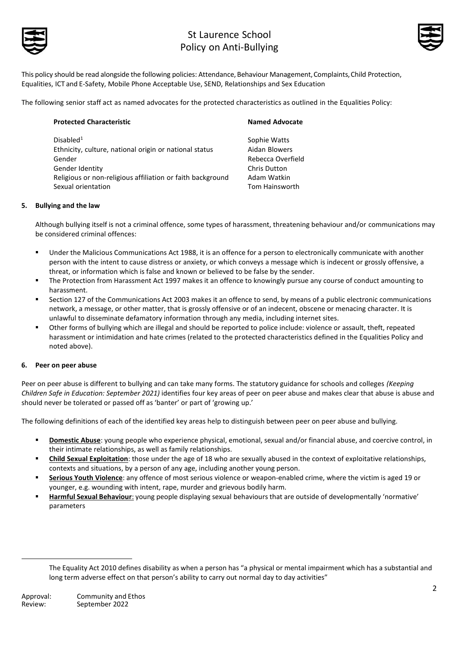



This policy should be read alongside the following policies: Attendance, Behaviour Management,Complaints,Child Protection, Equalities, ICT and E-Safety, Mobile Phone Acceptable Use, SEND, Relationships and Sex Education

The following senior staff act as named advocates for the protected characteristics as outlined in the Equalities Policy:

| <b>Protected Characteristic</b>                            | <b>Named Advocate</b> |
|------------------------------------------------------------|-----------------------|
| Disabled <sup>1</sup>                                      | Sophie Watts          |
| Ethnicity, culture, national origin or national status     | Aidan Blowers         |
| Gender                                                     | Rebecca Overfield     |
| Gender Identity                                            | Chris Dutton          |
| Religious or non-religious affiliation or faith background | Adam Watkin           |
| Sexual orientation                                         | Tom Hainsworth        |

### **5. Bullying and the law**

Although bullying itself is not a criminal offence, some types of harassment, threatening behaviour and/or communications may be considered criminal offences:

- Under the Malicious Communications Act 1988, it is an offence for a person to electronically communicate with another person with the intent to cause distress or anxiety, or which conveys a message which is indecent or grossly offensive, a threat, or information which is false and known or believed to be false by the sender.
- The Protection from Harassment Act 1997 makes it an offence to knowingly pursue any course of conduct amounting to harassment.
- Section 127 of the Communications Act 2003 makes it an offence to send, by means of a public electronic communications network, a message, or other matter, that is grossly offensive or of an indecent, obscene or menacing character. It is unlawful to disseminate defamatory information through any media, including internet sites.
- Other forms of bullying which are illegal and should be reported to police include: violence or assault, theft, repeated harassment or intimidation and hate crimes (related to the protected characteristics defined in the Equalities Policy and noted above).

## **6. Peer on peer abuse**

Peer on peer abuse is different to bullying and can take many forms. The statutory guidance for schools and colleges *(Keeping Children Safe in Education: September 2021)* identifies four key areas of peer on peer abuse and makes clear that abuse is abuse and should never be tolerated or passed off as 'banter' or part of 'growing up.'

The following definitions of each of the identified key areas help to distinguish between peer on peer abuse and bullying.

- **Domestic Abuse**: young people who experience physical, emotional, sexual and/or financial abuse, and coercive control, in their intimate relationships, as well as family relationships.
- **Child Sexual Exploitation**: those under the age of 18 who are sexually abused in the context of exploitative relationships, contexts and situations, by a person of any age, including another young person.
- Serious Youth Violence: any offence of most serious violence or weapon-enabled crime, where the victim is aged 19 or younger, e.g. wounding with intent, rape, murder and grievous bodily harm.
- **Harmful Sexual Behaviour**: young people displaying sexual behaviours that are outside of developmentally 'normative' parameters

The Equality Act 2010 defines disability as when a person has "a physical or mental impairment which has a substantial and long term adverse effect on that person's ability to carry out normal day to day activities"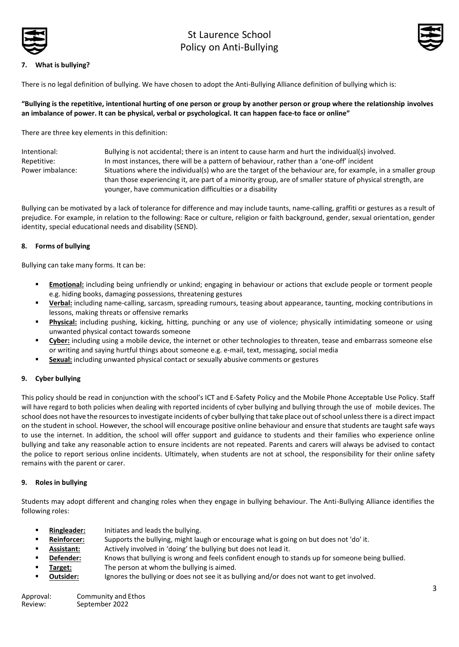



### **7. What is bullying?**

There is no legal definition of bullying. We have chosen to adopt the Anti-Bullying Alliance definition of bullying which is:

### **"Bullying is the repetitive, intentional hurting of one person or group by another person or group where the relationship involves an imbalance of power. It can be physical, verbal or psychological. It can happen face-to face or online"**

There are three key elements in this definition:

| Intentional:     | Bullying is not accidental; there is an intent to cause harm and hurt the individual(s) involved.           |
|------------------|-------------------------------------------------------------------------------------------------------------|
| Repetitive:      | In most instances, there will be a pattern of behaviour, rather than a 'one-off' incident                   |
| Power imbalance: | Situations where the individual(s) who are the target of the behaviour are, for example, in a smaller group |
|                  | than those experiencing it, are part of a minority group, are of smaller stature of physical strength, are  |
|                  | vounger, have communication difficulties or a disability                                                    |

Bullying can be motivated by a lack of tolerance for difference and may include taunts, name-calling, graffiti or gestures as a result of prejudice. For example, in relation to the following: Race or culture, religion or faith background, gender, sexual orientation, gender identity, special educational needs and disability (SEND).

### **8. Forms of bullying**

Bullying can take many forms. It can be:

- **Emotional:** including being unfriendly or unkind; engaging in behaviour or actions that exclude people or torment people e.g. hiding books, damaging possessions, threatening gestures
- **Verbal:** including name-calling, sarcasm, spreading rumours, teasing about appearance, taunting, mocking contributions in lessons, making threats or offensive remarks
- Physical: including pushing, kicking, hitting, punching or any use of violence; physically intimidating someone or using unwanted physical contact towards someone
- Cyber: including using a mobile device, the internet or other technologies to threaten, tease and embarrass someone else or writing and saying hurtful things about someone e.g. e-mail, text, messaging, social media
- **Sexual:** including unwanted physical contact or sexually abusive comments or gestures

### **9. Cyber bullying**

This policy should be read in conjunction with the school's ICT and E-Safety Policy and the Mobile Phone Acceptable Use Policy. Staff will have regard to both policies when dealing with reported incidents of cyber bullying and bullying through the use of mobile devices. The school does not have the resourcesto investigate incidents of cyber bullying that take place out ofschool unlessthere is a direct impact on the student in school. However, the school will encourage positive online behaviour and ensure that students are taught safe ways to use the internet. In addition, the school will offer support and guidance to students and their families who experience online bullying and take any reasonable action to ensure incidents are not repeated. Parents and carers will always be advised to contact the police to report serious online incidents. Ultimately, when students are not at school, the responsibility for their online safety remains with the parent or carer.

### **9. Roles in bullying**

Students may adopt different and changing roles when they engage in bullying behaviour. The Anti-Bullying Alliance identifies the following roles:

- **Ringleader:** Initiates and leads the bullying.
- Reinforcer: Supports the bullying, might laugh or encourage what is going on but does not 'do' it.
- Assistant: Actively involved in 'doing' the bullying but does not lead it.
- **Defender:** Knows that bullying is wrong and feels confident enough to stands up for someone being bullied.
- **Target:** The person at whom the bullying is aimed.
- **Outsider:** Ignores the bullying or does not see it as bullying and/or does not want to get involved.

| Approval: | Community and Ethos |
|-----------|---------------------|
| Review:   | September 2022      |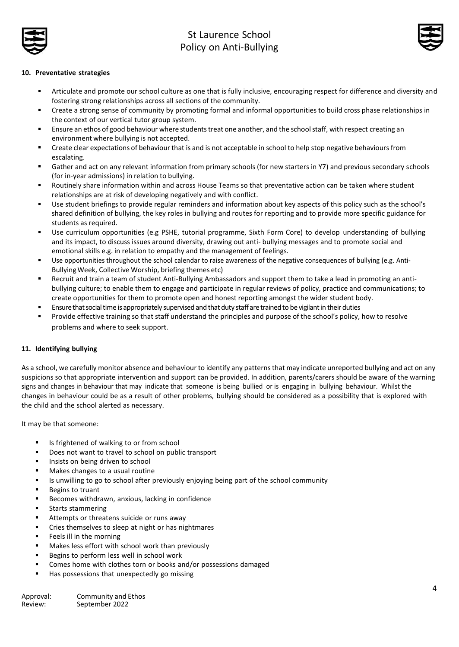



### **10. Preventative strategies**

- Articulate and promote our school culture as one that is fully inclusive, encouraging respect for difference and diversity and fostering strong relationships across all sections of the community.
- Create a strong sense of community by promoting formal and informal opportunities to build cross phase relationships in the context of our vertical tutor group system.
- **E** Ensure an ethos of good behaviour where students treat one another, and the school staff, with respect creating an environment where bullying is not accepted.
- **•** Create clear expectations of behaviour that is and is not acceptable in school to help stop negative behaviours from escalating.
- Gather and act on any relevant information from primary schools (for new starters in Y7) and previous secondary schools (for in-year admissions) in relation to bullying.
- Routinely share information within and across House Teams so that preventative action can be taken where student relationships are at risk of developing negatively and with conflict.
- Use student briefings to provide regular reminders and information about key aspects of this policy such as the school's shared definition of bullying, the key roles in bullying and routes for reporting and to provide more specific guidance for students as required.
- Use curriculum opportunities (e.g PSHE, tutorial programme, Sixth Form Core) to develop understanding of bullying and its impact, to discuss issues around diversity, drawing out anti- bullying messages and to promote social and emotional skills e.g. in relation to empathy and the management of feelings.
- Use opportunities throughout the school calendar to raise awareness of the negative consequences of bullying (e.g. Anti-BullyingWeek, Collective Worship, briefing themes etc)
- Recruit and train a team of student Anti-Bullying Ambassadors and support them to take a lead in promoting an antibullying culture; to enable them to engage and participate in regular reviews of policy, practice and communications; to create opportunities for them to promote open and honest reporting amongst the wider student body.
- Ensure that social time is appropriately supervised and that duty staff are trained to be vigilant in their duties
- Provide effective training so that staff understand the principles and purpose of the school's policy, how to resolve problems and where to seek support.

### **11. Identifying bullying**

As a school, we carefully monitor absence and behaviour to identify any patterns that may indicate unreported bullying and act on any suspicions so that appropriate intervention and support can be provided. In addition, parents/carers should be aware of the warning signs and changes in behaviour that may indicate that someone is being bullied or is engaging in bullying behaviour. Whilst the changes in behaviour could be as a result of other problems, bullying should be considered as a possibility that is explored with the child and the school alerted as necessary.

It may be that someone:

- Is frightened of walking to or from school
- Does not want to travel to school on public transport
- Insists on being driven to school
- Makes changes to a usual routine
- **■** Is unwilling to go to school after previously enjoying being part of the school community
- Begins to truant
- Becomes withdrawn, anxious, lacking in confidence
- Starts stammering
- Attempts or threatens suicide or runs away
- Cries themselves to sleep at night or has nightmares
- Feels ill in the morning
- Makes less effort with school work than previously
- Begins to perform less well in school work
- Comes home with clothes torn or books and/or possessions damaged
- Has possessions that unexpectedly go missing

| Approval: | Community and Ethos |
|-----------|---------------------|
| Review:   | September 2022      |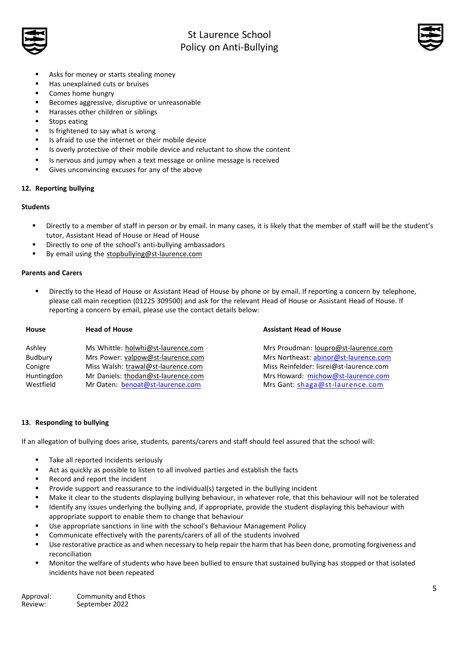



- Asks for money or starts stealing money
- Has unexplained cuts or bruises
- Comes home hungry
- Becomes aggressive, disruptive or unreasonable
- Harasses other children or siblings
- Stops eating
- Is frightened to say what is wrong
- Is afraid to use the internet or their mobile device
- Is overly protective of their mobile device and reluctant to show the content
- Is nervous and jumpy when a text message or online message is received
- Gives unconvincing excuses for any of the above

### **12. Reporting bullying**

### **Students**

- Directly to a member of staff in person or by email. In many cases, it is likely that the member of staff will be the student's tutor, Assistant Head of House or Head of House
- Directly to one of the school's anti-bullying ambassadors
- By email using the [stopbullying@st-laurence.com](mailto:stopbullying@st-laurence.com)

### **Parents and Carers**

Directly to the Head of House or Assistant Head of House by phone or by email. If reporting a concern by telephone, please call main reception (01225 309500) and ask for the relevant Head of House or Assistant Head of House. If reporting a concern by email, please use the contact details below:

| <b>House</b> | <b>Head of House</b>               | <b>Assistant Head of House</b>          |
|--------------|------------------------------------|-----------------------------------------|
| Ashley       | Ms Whittle: holwhi@st-laurence.com | Mrs Proudman: loupro@st-laurence.com    |
| Budbury      | Mrs Power: valpow@st-laurence.com  | Mrs Northeast: abinor@st-laurence.com   |
| Conigre      | Miss Walsh: trawal@st-laurence.com | Miss Reinfelder: lisrei@st-laurence.com |
| Huntingdon   | Mr Daniels: thodan@st-laurence.com | Mrs Howard: michow@st-laurence.com      |
| Westfield    | Mr Oaten: benoat@st-laurence.com   | Mrs Gant: shaga@st-laurence.com         |
|              |                                    |                                         |

### **13. Responding to bullying**

If an allegation of bullying does arise, students, parents/carers and staff should feel assured that the school will:

- Take all reported incidents seriously
- Act as quickly as possible to listen to all involved parties and establish the facts
- Record and report the incident
- Provide support and reassurance to the individual(s) targeted in the bullying incident
- Make it clear to the students displaying bullying behaviour, in whatever role, that this behaviour will not be tolerated
- Identify any issues underlying the bullying and, if appropriate, provide the student displaying this behaviour with appropriate support to enable them to change that behaviour
- Use appropriate sanctions in line with the school's Behaviour Management Policy
- Communicate effectively with the parents/carers of all of the students involved
- Use restorative practice as and when necessary to help repair the harm that has been done, promoting forgiveness and reconciliation
- Monitor the welfare of students who have been bullied to ensure that sustained bullying has stopped or that isolated incidents have not been repeated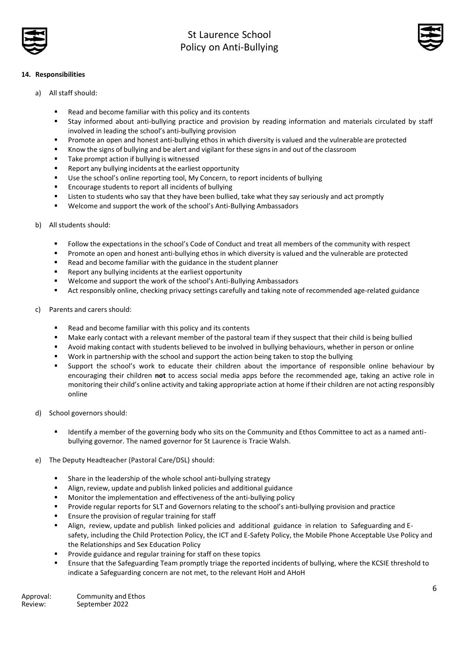



## **14. Responsibilities**

- a) All staff should:
	- Read and become familiar with this policy and its contents
	- Stay informed about anti-bullying practice and provision by reading information and materials circulated by staff involved in leading the school's anti-bullying provision
	- Promote an open and honest anti-bullying ethos in which diversity is valued and the vulnerable are protected
	- Know the signs of bullying and be alert and vigilant for these signs in and out of the classroom
	- Take prompt action if bullying is witnessed
	- Report any bullying incidents at the earliest opportunity
	- Use the school's online reporting tool, My Concern, to report incidents of bullying
	- Encourage students to report all incidents of bullying
	- Listen to students who say that they have been bullied, take what they say seriously and act promptly
	- Welcome and support the work of the school's Anti-Bullying Ambassadors
- b) All students should:
	- Follow the expectations in the school's Code of Conduct and treat all members of the community with respect
	- Promote an open and honest anti-bullying ethos in which diversity is valued and the vulnerable are protected
	- Read and become familiar with the guidance in the student planner
	- Report any bullying incidents at the earliest opportunity
	- Welcome and support the work of the school's Anti-Bullying Ambassadors
	- Act responsibly online, checking privacy settings carefully and taking note of recommended age-related guidance
- c) Parents and carers should:
	- Read and become familiar with this policy and its contents
	- Make early contact with a relevant member of the pastoral team if they suspect that their child is being bullied
	- Avoid making contact with students believed to be involved in bullying behaviours, whether in person or online
	- Work in partnership with the school and support the action being taken to stop the bullying
	- Support the school's work to educate their children about the importance of responsible online behaviour by encouraging their children **not** to access social media apps before the recommended age, taking an active role in monitoring their child's online activity and taking appropriate action at home if their children are not acting responsibly online
- d) School governors should:
	- Identify a member of the governing body who sits on the Community and Ethos Committee to act as a named antibullying governor. The named governor for St Laurence is Tracie Walsh.
- e) The Deputy Headteacher (Pastoral Care/DSL) should:
	- Share in the leadership of the whole school anti-bullying strategy
	- Align, review, update and publish linked policies and additional guidance
	- Monitor the implementation and effectiveness of the anti-bullying policy
	- Provide regular reports for SLT and Governors relating to the school's anti-bullying provision and practice
	- Ensure the provision of regular training for staff
	- Align, review, update and publish linked policies and additional guidance in relation to Safeguarding and Esafety, including the Child Protection Policy, the ICT and E-Safety Policy, the Mobile Phone Acceptable Use Policy and the Relationships and Sex Education Policy
	- Provide guidance and regular training for staff on these topics
	- Ensure that the Safeguarding Team promptly triage the reported incidents of bullying, where the KCSIE threshold to indicate a Safeguarding concern are not met, to the relevant HoH and AHoH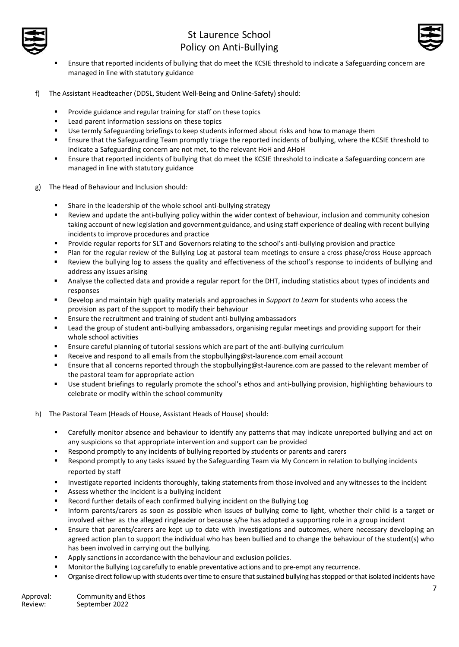



- Ensure that reported incidents of bullying that do meet the KCSIE threshold to indicate a Safeguarding concern are managed in line with statutory guidance
- f) The Assistant Headteacher (DDSL, Student Well-Being and Online-Safety) should:
	- Provide guidance and regular training for staff on these topics
	- Lead parent information sessions on these topics
	- Use termly Safeguarding briefings to keep students informed about risks and how to manage them
	- Ensure that the Safeguarding Team promptly triage the reported incidents of bullying, where the KCSIE threshold to indicate a Safeguarding concern are not met, to the relevant HoH and AHoH
	- Ensure that reported incidents of bullying that do meet the KCSIE threshold to indicate a Safeguarding concern are managed in line with statutory guidance
- g) The Head of Behaviour and Inclusion should:
	- Share in the leadership of the whole school anti-bullying strategy
	- Review and update the anti-bullying policy within the wider context of behaviour, inclusion and community cohesion taking account of new legislation and government guidance, and using staff experience of dealing with recent bullying incidents to improve procedures and practice
	- Provide regular reports for SLT and Governors relating to the school's anti-bullying provision and practice
	- Plan for the regular review of the Bullying Log at pastoral team meetings to ensure a cross phase/cross House approach Review the bullying log to assess the quality and effectiveness of the school's response to incidents of bullying and address any issues arising
	- Analyse the collected data and provide a regular report for the DHT, including statistics about types of incidents and responses
	- Develop and maintain high quality materials and approaches in *Support to Learn* for students who access the provision as part of the support to modify their behaviour
	- Ensure the recruitment and training of student anti-bullying ambassadors
	- Lead the group of student anti-bullying ambassadors, organising regular meetings and providing support for their whole school activities
	- **E** Ensure careful planning of tutorial sessions which are part of the anti-bullying curriculum
	- Receive and respond to all emails from the [stopbullying@st-laurence.com](mailto:stopbullying@st-laurence.com) email account
	- Ensure that all concerns reported through the [stopbullying@st-laurence.com](mailto:stopbullying@st-laurence.com) are passed to the relevant member of the pastoral team for appropriate action
	- Use student briefings to regularly promote the school's ethos and anti-bullying provision, highlighting behaviours to celebrate or modify within the school community
- h) The Pastoral Team (Heads of House, Assistant Heads of House) should:
	- **■** Carefully monitor absence and behaviour to identify any patterns that may indicate unreported bullying and act on any suspicions so that appropriate intervention and support can be provided
	- Respond promptly to any incidents of bullying reported by students or parents and carers
	- Respond promptly to any tasks issued by the Safeguarding Team via My Concern in relation to bullying incidents reported by staff
	- Investigate reported incidents thoroughly, taking statements from those involved and any witnesses to the incident
	- Assess whether the incident is a bullying incident
	- Record further details of each confirmed bullying incident on the Bullying Log
	- Inform parents/carers as soon as possible when issues of bullying come to light, whether their child is a target or involved either as the alleged ringleader or because s/he has adopted a supporting role in a group incident
	- Ensure that parents/carers are kept up to date with investigations and outcomes, where necessary developing an agreed action plan to support the individual who has been bullied and to change the behaviour of the student(s) who has been involved in carrying out the bullying.
	- Apply sanctions in accordance with the behaviour and exclusion policies.
	- Monitor the Bullying Log carefully to enable preventative actions and to pre-empt any recurrence.
	- Organise direct follow up with students over time to ensure that sustained bullying has stopped or that isolated incidents have